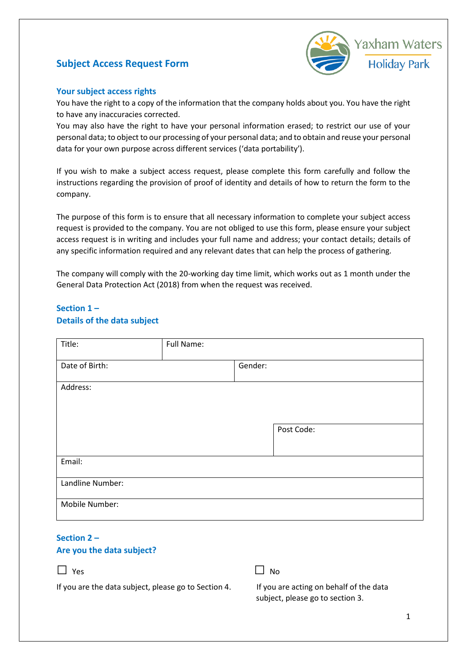# **Subject Access Request Form**



#### **Your subject access rights**

You have the right to a copy of the information that the company holds about you. You have the right to have any inaccuracies corrected.

You may also have the right to have your personal information erased; to restrict our use of your personal data; to object to our processing of your personal data; and to obtain and reuse your personal data for your own purpose across different services ('data portability').

If you wish to make a subject access request, please complete this form carefully and follow the instructions regarding the provision of proof of identity and details of how to return the form to the company.

The purpose of this form is to ensure that all necessary information to complete your subject access request is provided to the company. You are not obliged to use this form, please ensure your subject access request is in writing and includes your full name and address; your contact details; details of any specific information required and any relevant dates that can help the process of gathering.

The company will comply with the 20-working day time limit, which works out as 1 month under the General Data Protection Act (2018) from when the request was received.

### **Section 1 – Details of the data subject**

| Title:           | Full Name: |         |            |  |
|------------------|------------|---------|------------|--|
| Date of Birth:   |            | Gender: |            |  |
| Address:         |            |         |            |  |
|                  |            |         |            |  |
|                  |            |         | Post Code: |  |
| Email:           |            |         |            |  |
| Landline Number: |            |         |            |  |
| Mobile Number:   |            |         |            |  |

# **Section 2 –**

#### **Are you the data subject?**



If you are the data subject, please go to Section 4.

| If you are acting on behalf of the data |
|-----------------------------------------|
| subject, please go to section 3.        |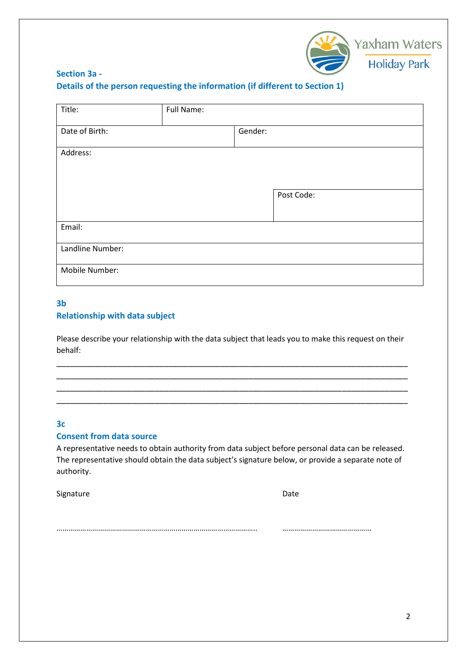

# **Section 3a - Details of the person requesting the information (if different to Section 1)**

| Title:           | Full Name: |         |            |
|------------------|------------|---------|------------|
| Date of Birth:   |            | Gender: |            |
| Address:         |            |         |            |
|                  |            |         | Post Code: |
| Email:           |            |         |            |
| Landline Number: |            |         |            |
| Mobile Number:   |            |         |            |

#### **3b Relationship with data subject**

Please describe your relationship with the data subject that leads you to make this request on their behalf:

\_\_\_\_\_\_\_\_\_\_\_\_\_\_\_\_\_\_\_\_\_\_\_\_\_\_\_\_\_\_\_\_\_\_\_\_\_\_\_\_\_\_\_\_\_\_\_\_\_\_\_\_\_\_\_\_\_\_\_\_\_\_\_\_\_\_\_\_\_\_\_\_\_\_\_ \_\_\_\_\_\_\_\_\_\_\_\_\_\_\_\_\_\_\_\_\_\_\_\_\_\_\_\_\_\_\_\_\_\_\_\_\_\_\_\_\_\_\_\_\_\_\_\_\_\_\_\_\_\_\_\_\_\_\_\_\_\_\_\_\_\_\_\_\_\_\_\_\_\_\_ \_\_\_\_\_\_\_\_\_\_\_\_\_\_\_\_\_\_\_\_\_\_\_\_\_\_\_\_\_\_\_\_\_\_\_\_\_\_\_\_\_\_\_\_\_\_\_\_\_\_\_\_\_\_\_\_\_\_\_\_\_\_\_\_\_\_\_\_\_\_\_\_\_\_\_ \_\_\_\_\_\_\_\_\_\_\_\_\_\_\_\_\_\_\_\_\_\_\_\_\_\_\_\_\_\_\_\_\_\_\_\_\_\_\_\_\_\_\_\_\_\_\_\_\_\_\_\_\_\_\_\_\_\_\_\_\_\_\_\_\_\_\_\_\_\_\_\_\_\_\_

#### **3c**

#### **Consent from data source**

A representative needs to obtain authority from data subject before personal data can be released. The representative should obtain the data subject's signature below, or provide a separate note of authority.

Signature Date Date Date Date

……………………………………………………………………………………….. ………………………………………